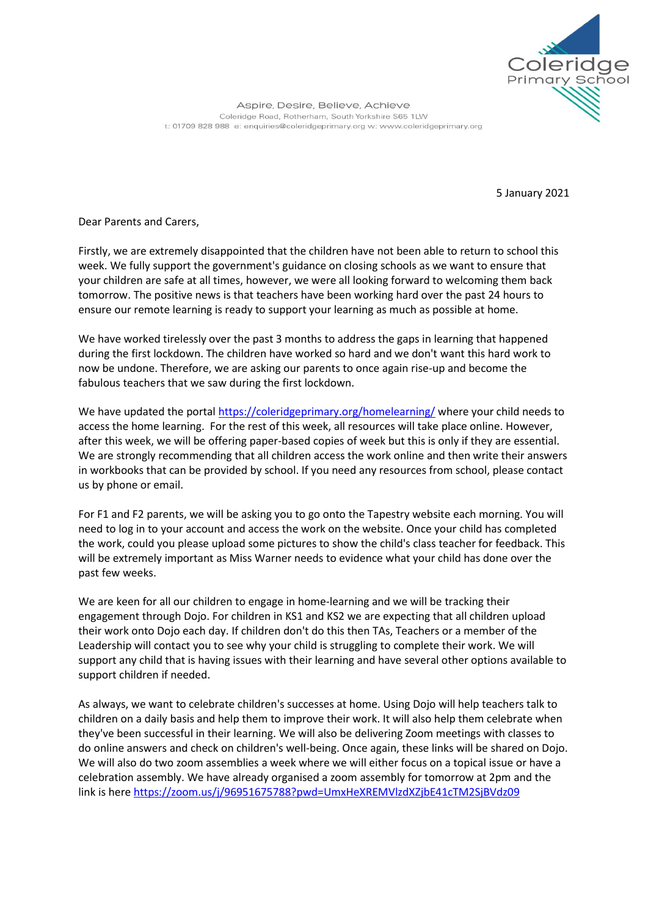

Aspire, Desire, Believe, Achieve Coleridge Road, Rotherham, South Yorkshire S65 1LW t: 01709 828 988 e: enquiries@coleridgeprimary.org w: www.coleridgeprimary.org

5 January 2021

Dear Parents and Carers,

Firstly, we are extremely disappointed that the children have not been able to return to school this week. We fully support the government's guidance on closing schools as we want to ensure that your children are safe at all times, however, we were all looking forward to welcoming them back tomorrow. The positive news is that teachers have been working hard over the past 24 hours to ensure our remote learning is ready to support your learning as much as possible at home.

We have worked tirelessly over the past 3 months to address the gaps in learning that happened during the first lockdown. The children have worked so hard and we don't want this hard work to now be undone. Therefore, we are asking our parents to once again rise-up and become the fabulous teachers that we saw during the first lockdown.

We have updated the portal <https://coleridgeprimary.org/homelearning/> where your child needs to access the home learning. For the rest of this week, all resources will take place online. However, after this week, we will be offering paper-based copies of week but this is only if they are essential. We are strongly recommending that all children access the work online and then write their answers in workbooks that can be provided by school. If you need any resources from school, please contact us by phone or email.

For F1 and F2 parents, we will be asking you to go onto the Tapestry website each morning. You will need to log in to your account and access the work on the website. Once your child has completed the work, could you please upload some pictures to show the child's class teacher for feedback. This will be extremely important as Miss Warner needs to evidence what your child has done over the past few weeks.

We are keen for all our children to engage in home-learning and we will be tracking their engagement through Dojo. For children in KS1 and KS2 we are expecting that all children upload their work onto Dojo each day. If children don't do this then TAs, Teachers or a member of the Leadership will contact you to see why your child is struggling to complete their work. We will support any child that is having issues with their learning and have several other options available to support children if needed.

As always, we want to celebrate children's successes at home. Using Dojo will help teachers talk to children on a daily basis and help them to improve their work. It will also help them celebrate when they've been successful in their learning. We will also be delivering Zoom meetings with classes to do online answers and check on children's well-being. Once again, these links will be shared on Dojo. We will also do two zoom assemblies a week where we will either focus on a topical issue or have a celebration assembly. We have already organised a zoom assembly for tomorrow at 2pm and the link is here <https://zoom.us/j/96951675788?pwd=UmxHeXREMVlzdXZjbE41cTM2SjBVdz09>